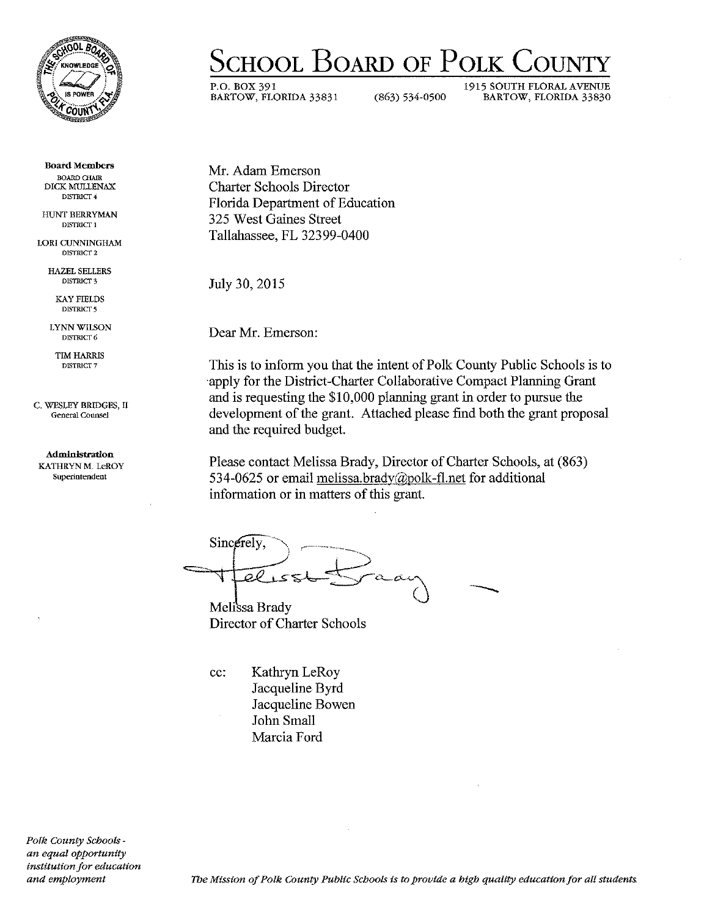

Board Members BOARD CHAIR DICK MUllENAX DISTRICf 4

HUNT BERRYMAN DISTRICf 1

LORI CUNNINGHAM DISTRICT<sub>2</sub>

> HAZEL SELLERS DISTRICT<sub>3</sub>

KAY FIELDS DISTRICT<sub>5</sub>

LYNN WILSON DISTRICT<sub>6</sub>

TIM HARRIS DISTRICT<sub>7</sub>

C. WESLEY BRIDGES, II General Counsel

#### Administration KATHRYNM. LeROY Superintendent

ScHOOL BoARD OF PoLK CouNTY

P.O. BOX 391 1915 SOUTH FLORAL AVENUE<br>BARTOW, FLORIDA 33831 6863) 634-0500 BARTOW, FLORIDA 33830 BARTOW, FLORIDA 33831 (863) 534-0500 BARTOW, FLORIDA 33830

Mr. Adam Emerson Charter Schools Director Florida Department of Education 325 West Gaines Street Tallahassee, FL 32399-0400

July 30, 2015

Dear Mr. Emerson:

This is to inform you that the intent of Polk County Public Schools is to ·apply for the District-Charter Collaborative Compact Planning Grant and is requesting the \$10,000 planning grant in order to pursue the development of the grant. Attached please find both the grant proposal and the required budget.

Please contact Melissa Brady, Director of Charter Schools, at  $(863)$ 534-0625 or email melissa.brady( $a$ )polk-fl.net for additional information or in matters of this grant.

Since rely. Ttelisst Sraan

Melissa Brady Director of Charter Schools

cc: Kathryn LeRoy Jacqueline Byrd Jacqueline Bowen John Small Marcia Ford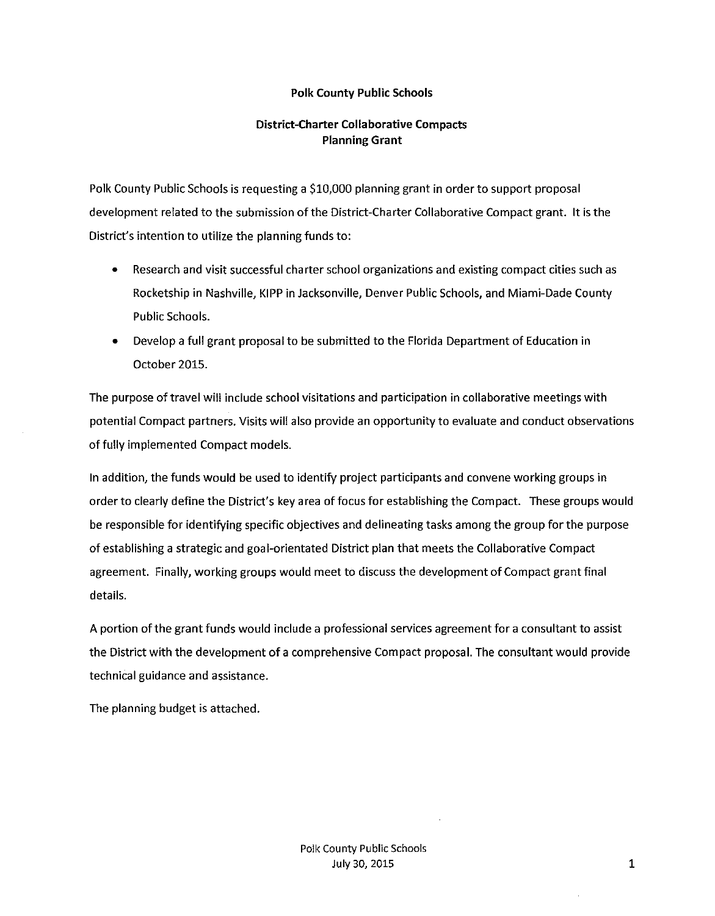## Polk County Public Schools

# District-Charter Collaborative Compacts Planning Grant

Polk County Public Schools is requesting a \$10,000 planning grant in order to support proposal development related to the submission of the District-Charter Collaborative Compact grant. It is the District's intention to utilize the planning funds to:

- Research and visit successful charter school organizations and existing compact cities such as Rocketship in Nashville, KIPP in Jacksonville, Denver Public Schools, and Miami-Dade County Public Schools.
- Develop a full grant proposal to be submitted to the Florida Department of Education in October 2015.

The purpose oftravel will include school visitations and participation in collaborative meetings with potential Compact partners. Visits will also provide an opportunity to evaluate and conduct observations of fully implemented Compact models.

In addition, the funds would be used to identify project participants and convene working groups in order to clearly define the District's key area of focus for establishing the Compact. These groups would be responsible for identifying specific objectives and delineating tasks among the group for the purpose of establishing a strategic and goal-orientated District plan that meets the Collaborative Compact agreement. Finally, working groups would meet to discuss the development of Compact grant final details.

A portion of the grant funds would include a professional services agreement for a consultant to assist the District with the development of a comprehensive Compact proposal. The consultant would provide technical guidance and assistance.

The planning budget is attached.